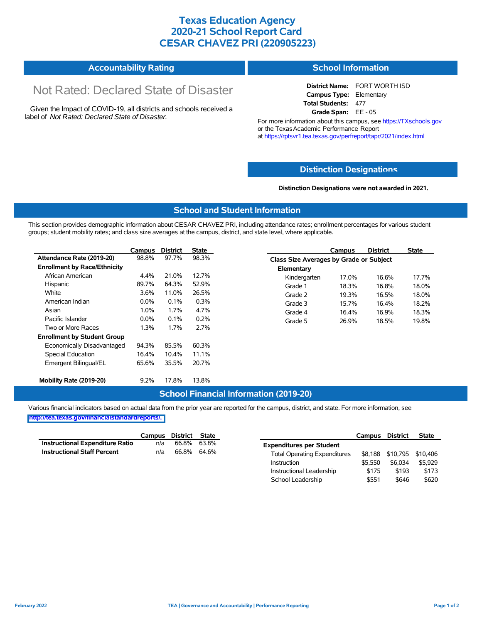## **Texas Education Agency 2020-21 School Report Card CESAR CHAVEZ PRI (220905223)**

| <b>Accountability Rating</b> | <b>School Information</b> |
|------------------------------|---------------------------|
|------------------------------|---------------------------|

# Not Rated: Declared State of Disaster

Given the Impact of COVID-19, all districts and schools received a label of *Not Rated: Declared State of Disaster.*

**District Name:** FORT WORTH ISD **Campus Type:** Elementary **Total Students:** 477 **Grade Span:** EE - 05

For more information about this campus, see https://TXschools.gov or the Texas Academic Performance Report at https://rptsvr1.tea.texas.gov/perfreport/tapr/2021/index.html

#### **Distinction Designat[ions](https://TXschools.gov)**

**Distinction Designations were not awarded in 2021.**

School Leadership  $$551$  \$646 \$620

#### **School and Student Information**

This section provides demographic information about CESAR CHAVEZ PRI, including attendance rates; enrollment percentages for various student groups; student mobility rates; and class size averages at the campus, district, and state level, where applicable.

|                                     | Campus  | <b>District</b> | <b>State</b> |              | Campus                                  | <b>District</b> | <b>State</b> |  |  |
|-------------------------------------|---------|-----------------|--------------|--------------|-----------------------------------------|-----------------|--------------|--|--|
| Attendance Rate (2019-20)           | 98.8%   | 97.7%           | 98.3%        |              | Class Size Averages by Grade or Subject |                 |              |  |  |
| <b>Enrollment by Race/Ethnicity</b> |         |                 |              | Elementary   |                                         |                 |              |  |  |
| African American                    | 4.4%    | 21.0%           | 12.7%        | Kindergarten | 17.0%                                   | 16.6%           | 17.7%        |  |  |
| Hispanic                            | 89.7%   | 64.3%           | 52.9%        | Grade 1      | 18.3%                                   | 16.8%           | 18.0%        |  |  |
| White                               | 3.6%    | 11.0%           | 26.5%        | Grade 2      | 19.3%                                   | 16.5%           | 18.0%        |  |  |
| American Indian                     | $0.0\%$ | 0.1%            | 0.3%         | Grade 3      | 15.7%                                   | 16.4%           | 18.2%        |  |  |
| Asian                               | 1.0%    | 1.7%            | 4.7%         | Grade 4      | 16.4%                                   | 16.9%           | 18.3%        |  |  |
| Pacific Islander                    | $0.0\%$ | 0.1%            | 0.2%         | Grade 5      | 26.9%                                   | 18.5%           | 19.8%        |  |  |
| Two or More Races                   | 1.3%    | 1.7%            | 2.7%         |              |                                         |                 |              |  |  |
| <b>Enrollment by Student Group</b>  |         |                 |              |              |                                         |                 |              |  |  |
| Economically Disadvantaged          | 94.3%   | 85.5%           | 60.3%        |              |                                         |                 |              |  |  |
| Special Education                   | 16.4%   | 10.4%           | 11.1%        |              |                                         |                 |              |  |  |
| Emergent Bilingual/EL               | 65.6%   | 35.5%           | 20.7%        |              |                                         |                 |              |  |  |
|                                     |         |                 |              |              |                                         |                 |              |  |  |
| Mobility Rate (2019-20)             | 9.2%    | 17.8%           | 13.8%        |              |                                         |                 |              |  |  |

#### **School Financial Information (2019-20)**

Various financial indicators based on actual data from the prior year are reported for the campus, district, and state. For more information, see

**[http://tea.texas.gov/financialstandardreports/.](http://tea.texas.gov/financialstandardreports/)**

|                                        | Campus | District | State       |                                     | Campus  | <b>District</b>           | <b>State</b> |
|----------------------------------------|--------|----------|-------------|-------------------------------------|---------|---------------------------|--------------|
| <b>Instructional Expenditure Ratio</b> | n/a    | 66.8%    | 63.8%       | <b>Expenditures per Student</b>     |         |                           |              |
| <b>Instructional Staff Percent</b>     | n/a    |          | 66.8% 64.6% | <b>Total Operating Expenditures</b> |         | \$8,188 \$10,795 \$10,406 |              |
|                                        |        |          |             | Instruction                         | \$5.550 | \$6.034                   | \$5,929      |
|                                        |        |          |             | Instructional Leadership            | \$175   | \$193                     | \$173        |